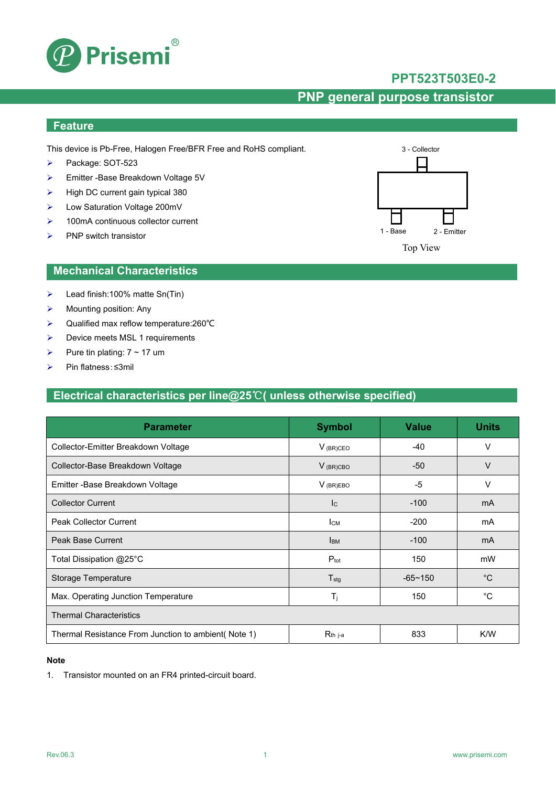

### **PPT523T503E0-2**

## **PNP general purpose transistor**

## **Feature**

This device is Pb-Free, Halogen Free/BFR Free and RoHS compliant.

- Package: SOT-523
- Emitter -Base Breakdown Voltage 5V
- $\triangleright$  High DC current gain typical 380
- Low Saturation Voltage 200mV
- **▶ 100mA continuous collector current**
- $\triangleright$  PNP switch transistor



### **Mechanical Characteristics**

- $\blacktriangleright$  Lead finish:100% matte Sn(Tin)
- $\triangleright$  Mounting position: Any
- Qualified max reflow temperature:260℃
- $\triangleright$  Device meets MSL 1 requirements
- Pure tin plating:  $7 \sim 17$  um
- Pin flatness:≤3mil

### **Electrical characteristics per line@25**℃**( unless otherwise specified)**

| <b>Parameter</b>                                     | <b>Symbol</b>             | <b>Value</b>   | <b>Units</b> |  |  |
|------------------------------------------------------|---------------------------|----------------|--------------|--|--|
| Collector-Emitter Breakdown Voltage                  | $V_{(BR)CEO}$             | $-40$          | v            |  |  |
| Collector-Base Breakdown Voltage                     | $V$ (BR)CBO               | $-50$          | V            |  |  |
| Emitter - Base Breakdown Voltage                     | $V_{(BR)EBO}$             | $-5$           | v            |  |  |
| <b>Collector Current</b>                             | $\mathsf{I}_{\mathsf{C}}$ | $-100$         | mA           |  |  |
| <b>Peak Collector Current</b>                        | Iсм                       | $-200$         | mA           |  |  |
| Peak Base Current                                    | <b>I</b> BM               | $-100$         | mA           |  |  |
| Total Dissipation @25°C                              | $P_{\text{tot}}$          | 150            | mW           |  |  |
| Storage Temperature                                  | $T_{\text{stg}}$          | $-65 \sim 150$ | $^{\circ}C$  |  |  |
| Max. Operating Junction Temperature                  | $T_{\rm i}$               | 150            | $^{\circ}C$  |  |  |
| <b>Thermal Characteristics</b>                       |                           |                |              |  |  |
| Thermal Resistance From Junction to ambient (Note 1) | $R_{th}$ j-a              | 833            | K/W          |  |  |

#### **Note**

1. Transistor mounted on an FR4 printed-circuit board.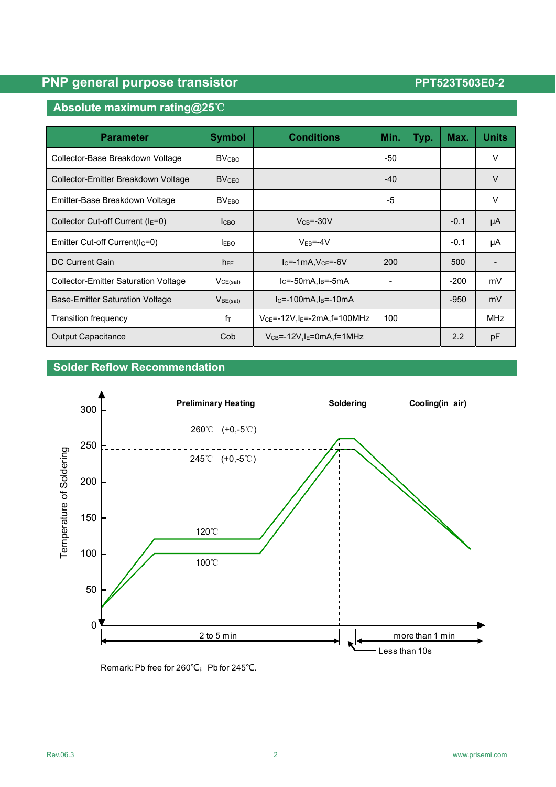# **PNP general purpose transistor PNP general purpose transistor PPT523T503E0-2**

## **Absolute maximum rating@25**℃

| <b>Parameter</b>                            | <b>Symbol</b>            | <b>Conditions</b>                             | Min.  | Typ. | Max.   | <b>Units</b> |
|---------------------------------------------|--------------------------|-----------------------------------------------|-------|------|--------|--------------|
| Collector-Base Breakdown Voltage            | <b>BV</b> <sub>CВО</sub> |                                               | -50   |      |        | V            |
| Collector-Emitter Breakdown Voltage         | <b>BVCEO</b>             |                                               | $-40$ |      |        | $\vee$       |
| Emitter-Base Breakdown Voltage              | BV <sub>EBO</sub>        |                                               | -5    |      |        | V            |
| Collector Cut-off Current ( $IE=0$ )        | <b>I</b> сво             | $V_{CB} = -30V$                               |       |      | $-0.1$ | μA           |
| Emitter Cut-off Current(Ic=0)               | <b>EBO</b>               | $VEB=-4V$                                     |       |      | $-0.1$ | μA           |
| DC Current Gain                             | $h_{FE}$                 | $IC=-1mA, VCE=-6V$                            | 200   |      | 500    |              |
| <b>Collector-Emitter Saturation Voltage</b> | VCE(sat)                 | $lc = -50mA$ , $ls = -5mA$                    |       |      | $-200$ | mV           |
| <b>Base-Emitter Saturation Voltage</b>      | V <sub>BE(sat)</sub>     | $lc = -100mA, l_B = -10mA$                    |       |      | $-950$ | mV           |
| <b>Transition frequency</b>                 | $f_{\text{T}}$           | $V_{CE} = -12V$ , $I_E = -2mA$ , $f = 100MHz$ | 100   |      |        | <b>MHz</b>   |
| <b>Output Capacitance</b>                   | Cob                      | $V_{CB} = -12V$ , $I_E = 0$ mA, $f = 1$ MHz   |       |      | 2.2    | pF           |

## **Solder Reflow Recommendation**



Remark: Pb free for 260℃; Pb for 245℃.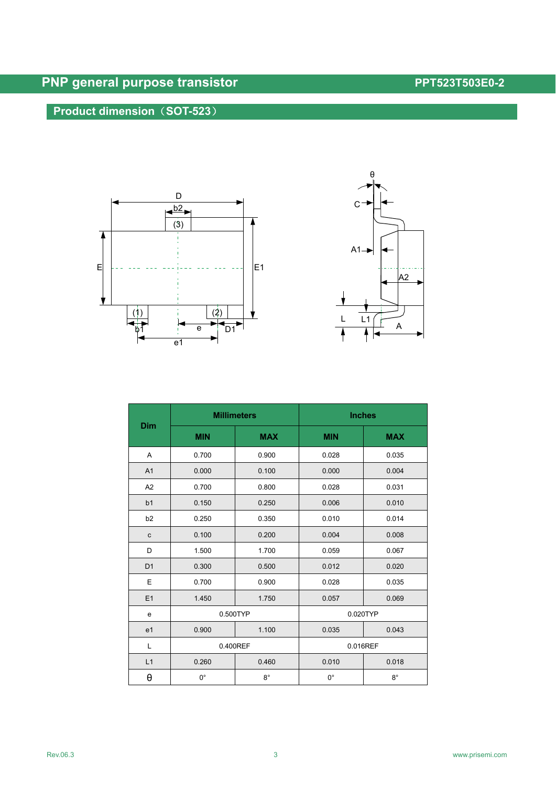# **PNP general purpose transistor PNP general purpose transistor PPT523T503E0-2**

## **Product dimension**(**SOT-523**)





|                | <b>Millimeters</b> |             | <b>Inches</b> |             |  |
|----------------|--------------------|-------------|---------------|-------------|--|
| Dim            | <b>MIN</b>         | <b>MAX</b>  | <b>MIN</b>    | <b>MAX</b>  |  |
| Α              | 0.700              | 0.900       | 0.028         | 0.035       |  |
| A1             | 0.000              | 0.100       | 0.000         | 0.004       |  |
| A <sub>2</sub> | 0.700              | 0.800       | 0.028         | 0.031       |  |
| b1             | 0.150              | 0.250       | 0.006         | 0.010       |  |
| b2             | 0.250              | 0.350       | 0.010         | 0.014       |  |
| $\mathbf c$    | 0.100              | 0.200       | 0.004         | 0.008       |  |
| D              | 1.500              | 1.700       | 0.059         | 0.067       |  |
| D <sub>1</sub> | 0.300              | 0.500       | 0.012         | 0.020       |  |
| E              | 0.700              | 0.900       | 0.028         | 0.035       |  |
| E1             | 1.450              | 1.750       | 0.057         | 0.069       |  |
| e              | 0.500TYP           |             | 0.020TYP      |             |  |
| e <sub>1</sub> | 0.900              | 1.100       | 0.035         | 0.043       |  |
| L              | 0.400REF           |             | 0.016REF      |             |  |
| L1             | 0.260              | 0.460       | 0.010         | 0.018       |  |
| θ              | $0^{\circ}$        | $8^{\circ}$ | $0^{\circ}$   | $8^{\circ}$ |  |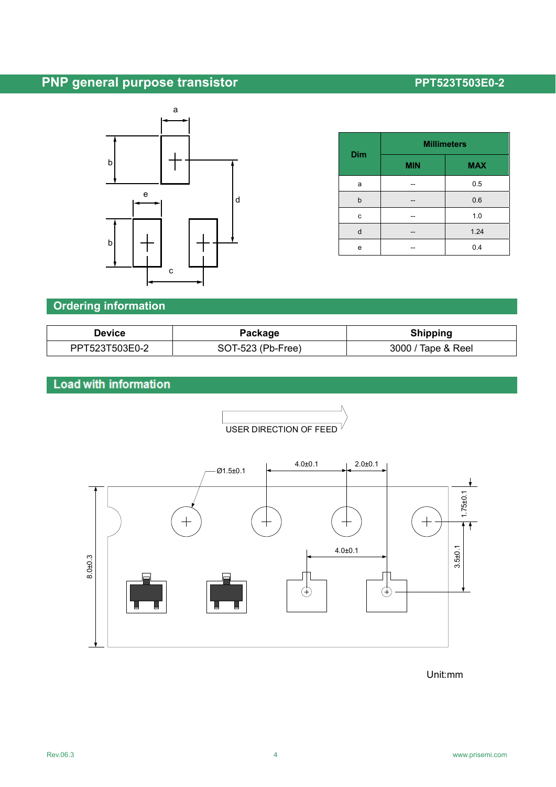# **PNP general purpose transistor PNP general purpose transistor PPT523T503E0-2**



| <b>Dim</b> | <b>Millimeters</b> |            |  |
|------------|--------------------|------------|--|
|            | <b>MIN</b>         | <b>MAX</b> |  |
| a          |                    | 0.5        |  |
| b          |                    | 0.6        |  |
| c          |                    | 1.0        |  |
| d          | --                 | 1.24       |  |
| е          |                    | 0.4        |  |

## **Ordering information**

| Device         | Package           | <b>Shipping</b>    |  |  |
|----------------|-------------------|--------------------|--|--|
| PPT523T503E0-2 | SOT-523 (Pb-Free) | 3000 / Tape & Reel |  |  |

# Load with information



USER DIRECTION OF FEED

Unit:mm